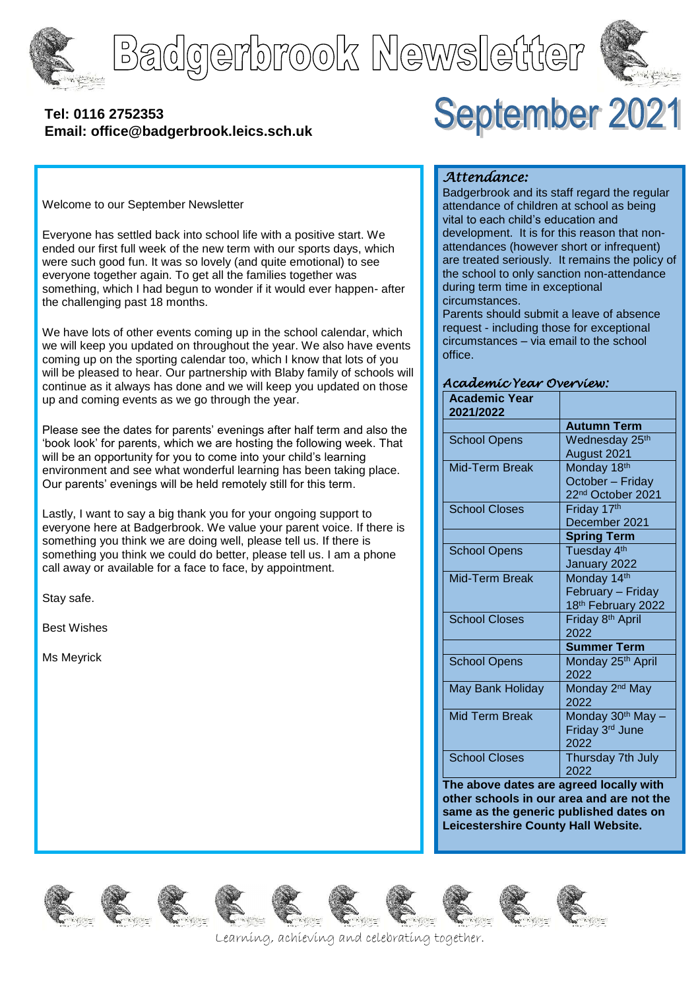

Badgerbrook Newsletter



#### **[Tel: 0116](tel:0116) 2752353 Email: office@badgerbrook.leics.sch.uk**



Welcome to our September Newsletter

Everyone has settled back into school life with a positive start. We ended our first full week of the new term with our sports days, which were such good fun. It was so lovely (and quite emotional) to see everyone together again. To get all the families together was something, which I had begun to wonder if it would ever happen- after the challenging past 18 months.

We have lots of other events coming up in the school calendar, which we will keep you updated on throughout the year. We also have events coming up on the sporting calendar too, which I know that lots of you will be pleased to hear. Our partnership with Blaby family of schools will continue as it always has done and we will keep you updated on those up and coming events as we go through the year.

Please see the dates for parents' evenings after half term and also the 'book look' for parents, which we are hosting the following week. That will be an opportunity for you to come into your child's learning environment and see what wonderful learning has been taking place. Our parents' evenings will be held remotely still for this term.

Lastly, I want to say a big thank you for your ongoing support to everyone here at Badgerbrook. We value your parent voice. If there is something you think we are doing well, please tell us. If there is something you think we could do better, please tell us. I am a phone call away or available for a face to face, by appointment.

Stay safe.

Best Wishes

Ms Meyrick

#### *Attendance:*

Badgerbrook and its staff regard the regular attendance of children at school as being vital to each child's education and development. It is for this reason that nonattendances (however short or infrequent) are treated seriously. It remains the policy of the school to only sanction non-attendance during term time in exceptional circumstances.

Parents should submit a leave of absence request - including those for exceptional circumstances – via email to the school office.

#### *Academic Year Overview:*

| <b>Academic Year</b><br>2021/2022 |                                |
|-----------------------------------|--------------------------------|
|                                   | <b>Autumn Term</b>             |
| <b>School Opens</b>               | Wednesday 25 <sup>th</sup>     |
|                                   | August 2021                    |
| Mid-Term Break                    | Monday 18th                    |
|                                   | October - Friday               |
|                                   | 22 <sup>nd</sup> October 2021  |
| <b>School Closes</b>              | Friday 17th                    |
|                                   | December 2021                  |
|                                   | <b>Spring Term</b>             |
| <b>School Opens</b>               | Tuesday 4 <sup>th</sup>        |
|                                   | January 2022                   |
| Mid-Term Break                    | Monday 14th                    |
|                                   | February - Friday              |
|                                   | 18 <sup>th</sup> February 2022 |
| <b>School Closes</b>              | Friday 8 <sup>th</sup> April   |
|                                   | 2022                           |
|                                   | <b>Summer Term</b>             |
| <b>School Opens</b>               | Monday 25 <sup>th</sup> April  |
|                                   | 2022                           |
| May Bank Holiday                  | Monday 2 <sup>nd</sup> May     |
|                                   | 2022                           |
| <b>Mid Term Break</b>             | Monday 30 <sup>th</sup> May -  |
|                                   | Friday 3rd June                |
|                                   | 2022                           |
| <b>School Closes</b>              | Thursday 7th July              |
|                                   | 2022                           |

**The above dates are agreed locally with other schools in our area and are not the same as the generic published dates on Leicestershire County Hall Website.**















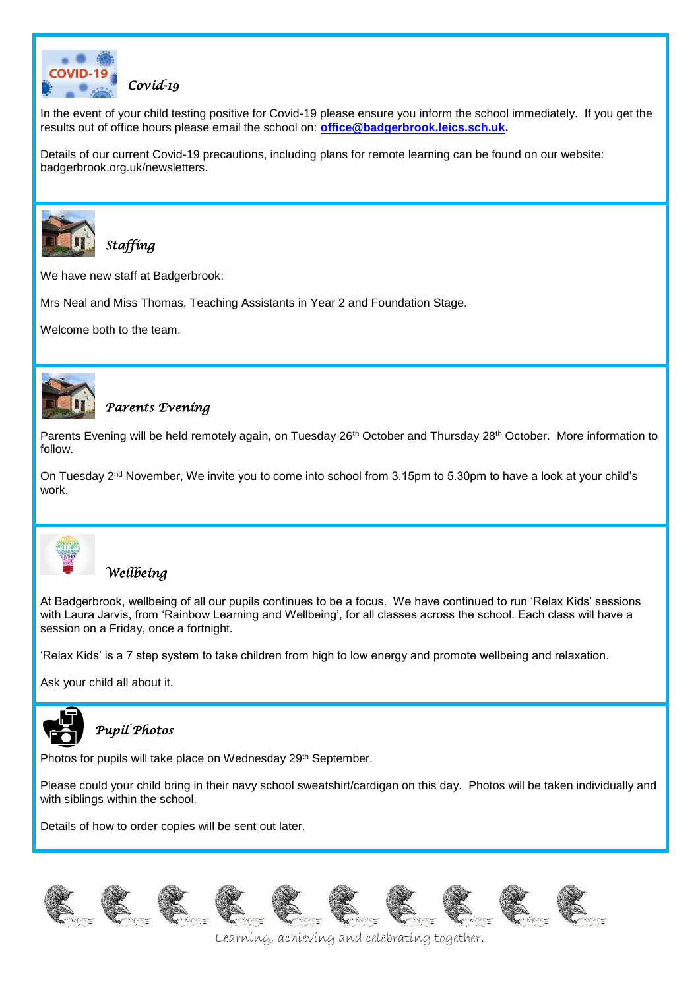

In the event of your child testing positive for Covid-19 please ensure you inform the school immediately. If you get the results out of office hours please email the school on: **[office@badgerbrook.leics.sch.uk.](mailto:office@badgerbrook.leics.sch.uk)**

Details of our current Covid-19 precautions, including plans for remote learning can be found on our website: badgerbrook.org.uk/newsletters.



*Staffing* 

We have new staff at Badgerbrook:

Mrs Neal and Miss Thomas, Teaching Assistants in Year 2 and Foundation Stage.

Welcome both to the team.



#### *Parents Evening*

Parents Evening will be held remotely again, on Tuesday 26<sup>th</sup> October and Thursday 28<sup>th</sup> October. More information to follow.

On Tuesday 2<sup>nd</sup> November, We invite you to come into school from 3.15pm to 5.30pm to have a look at your child's work.



#### *Wellbeing*

At Badgerbrook, wellbeing of all our pupils continues to be a focus. We have continued to run 'Relax Kids' sessions with Laura Jarvis, from 'Rainbow Learning and Wellbeing', for all classes across the school. Each class will have a session on a Friday, once a fortnight.

'Relax Kids' is a 7 step system to take children from high to low energy and promote wellbeing and relaxation.

Ask your child all about it.



## *Pupil Photos*

Photos for pupils will take place on Wednesday 29<sup>th</sup> September.

Please could your child bring in their navy school sweatshirt/cardigan on this day. Photos will be taken individually and with siblings within the school.

Details of how to order copies will be sent out later.

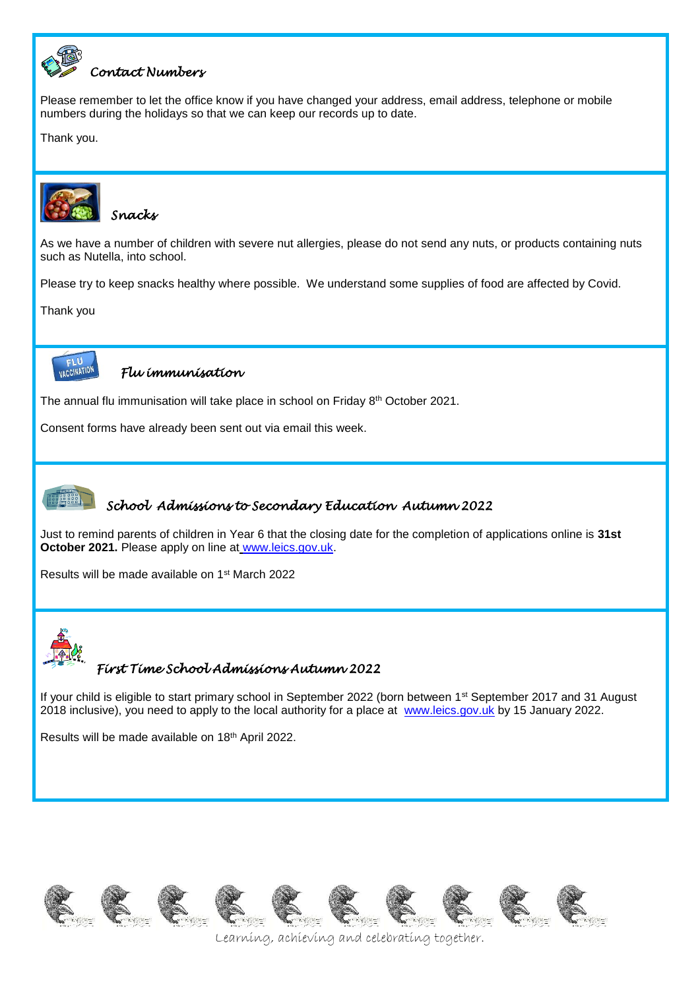

## *Contact Numbers*

Please remember to let the office know if you have changed your address, email address, telephone or mobile numbers during the holidays so that we can keep our records up to date.

Thank you.



*Snacks* 

As we have a number of children with severe nut allergies, please do not send any nuts, or products containing nuts such as Nutella, into school.

Please try to keep snacks healthy where possible. We understand some supplies of food are affected by Covid.

Thank you



#### *Flu immunisation*

The annual flu immunisation will take place in school on Friday 8<sup>th</sup> October 2021.

Consent forms have already been sent out via email this week.



#### *School Admissions to Secondary Education Autumn 2022*

Just to remind parents of children in Year 6 that the closing date for the completion of applications online is **31st October 2021.** Please apply on line at [www.leics.gov.uk.](http://www.leics.gov.uk/)

Results will be made available on 1st March 2022



## *First Time School Admissions Autumn 2022*

If your child is eligible to start primary school in September 2022 (born between 1<sup>st</sup> September 2017 and 31 August 2018 inclusive), you need to apply to the local authority for a place at [www.leics.gov.uk](http://www.leics.gov.uk/) by 15 January 2022.

Results will be made available on 18th April 2022.

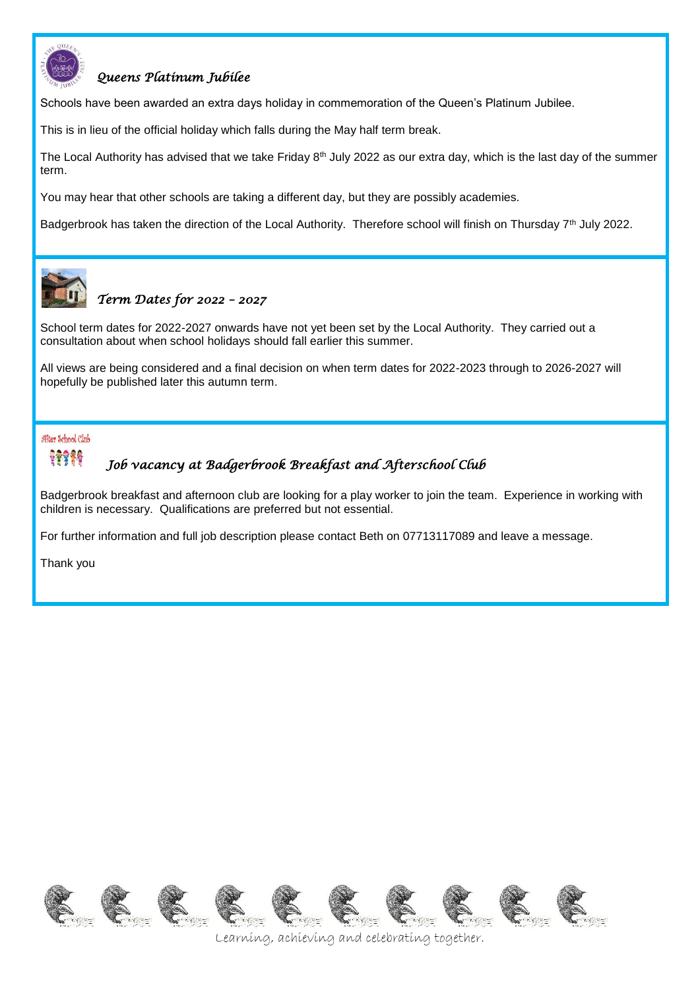

#### *Queens Platinum Jubilee*

Schools have been awarded an extra days holiday in commemoration of the Queen's Platinum Jubilee.

This is in lieu of the official holiday which falls during the May half term break.

The Local Authority has advised that we take Friday  $8<sup>th</sup>$  July 2022 as our extra day, which is the last day of the summer term.

You may hear that other schools are taking a different day, but they are possibly academies.

Badgerbrook has taken the direction of the Local Authority. Therefore school will finish on Thursday 7<sup>th</sup> July 2022.



# *Term Dates for 2022 – 2027*

School term dates for 2022-2027 onwards have not yet been set by the Local Authority. They carried out a consultation about when school holidays should fall earlier this summer.

All views are being considered and a final decision on when term dates for 2022-2023 through to 2026-2027 will hopefully be published later this autumn term.

#### After School Club



## *Job vacancy at Badgerbrook Breakfast and Afterschool Club*

Badgerbrook breakfast and afternoon club are looking for a play worker to join the team. Experience in working with children is necessary. Qualifications are preferred but not essential.

For further information and full job description please contact Beth on 07713117089 and leave a message.

Thank you

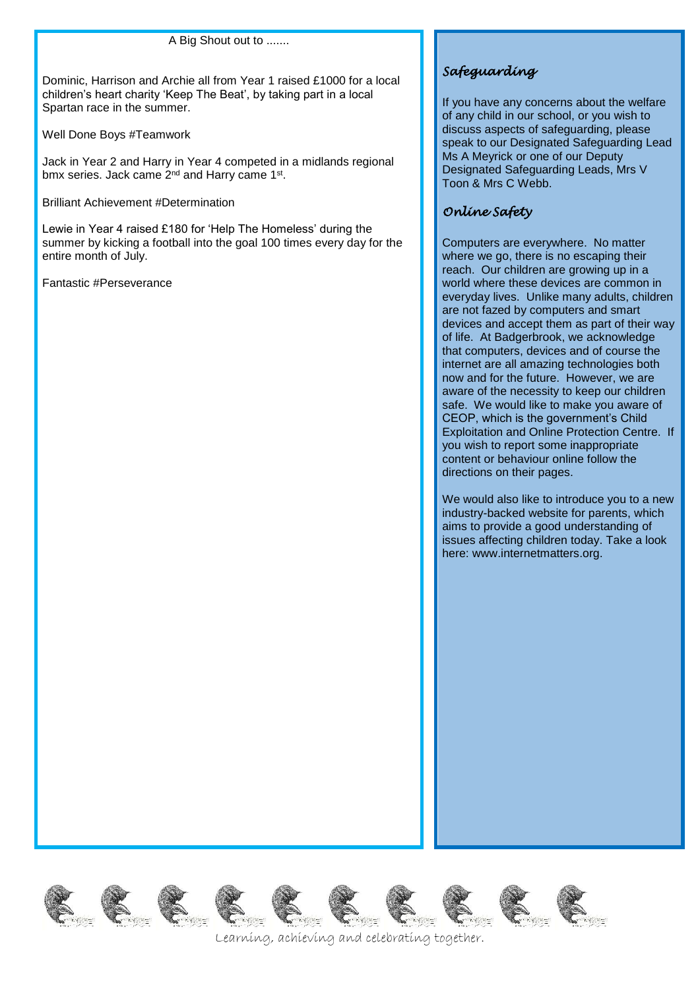A Big Shout out to .......

Dominic, Harrison and Archie all from Year 1 raised £1000 for a local children's heart charity 'Keep The Beat', by taking part in a local Spartan race in the summer.

Well Done Boys #Teamwork

Jack in Year 2 and Harry in Year 4 competed in a midlands regional bmx series. Jack came 2<sup>nd</sup> and Harry came 1<sup>st</sup>.

Brilliant Achievement #Determination

Lewie in Year 4 raised £180 for 'Help The Homeless' during the summer by kicking a football into the goal 100 times every day for the entire month of July.

Fantastic #Perseverance

## *Safeguarding*

If you have any concerns about the welfare of any child in our school, or you wish to discuss aspects of safeguarding, please speak to our Designated Safeguarding Lead Ms A Meyrick or one of our Deputy Designated Safeguarding Leads, Mrs V Toon & Mrs C Webb.

## *Online Safety*

Computers are everywhere. No matter where we go, there is no escaping their reach. Our children are growing up in a world where these devices are common in everyday lives. Unlike many adults, children are not fazed by computers and smart devices and accept them as part of their way of life. At Badgerbrook, we acknowledge that computers, devices and of course the internet are all amazing technologies both now and for the future. However, we are aware of the necessity to keep our children safe. We would like to make you aware of CEOP, which is the government's Child Exploitation and Online Protection Centre. If you wish to report some inappropriate content or behaviour online follow the directions on their pages.

We would also like to introduce you to a new industry-backed website for parents, which aims to provide a good understanding of issues affecting children today. Take a look here: www.internetmatters.org.